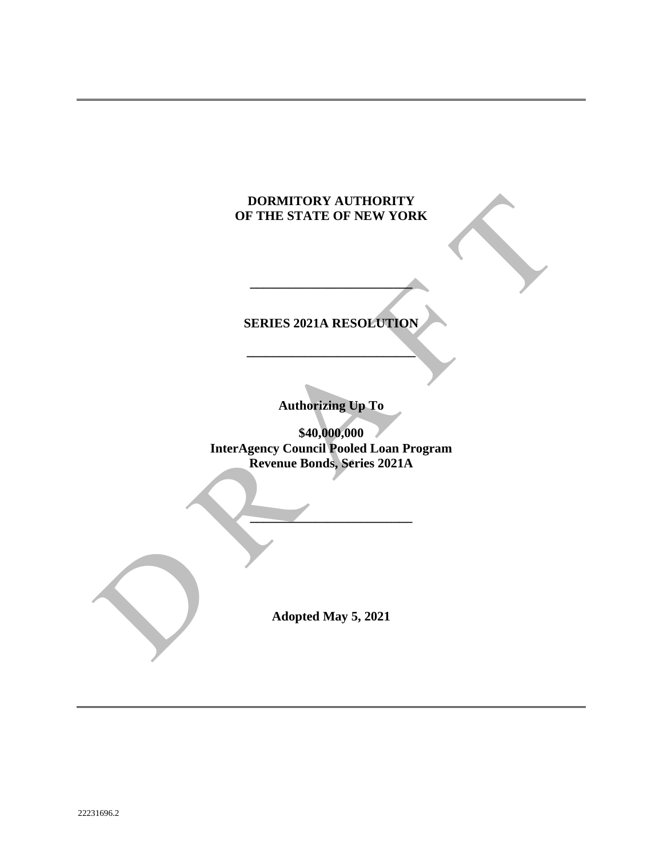## **DORMITORY AUTHORITY OF THE STATE OF NEW YORK**

# **\_\_\_\_\_\_\_\_\_\_\_\_\_\_\_\_\_\_\_\_\_\_\_\_\_\_**

**SERIES 2021A RESOLUTION**

**\_\_\_\_\_\_\_\_\_\_\_\_\_\_\_\_\_\_\_\_\_\_\_\_\_**

**Authorizing Up To**

**\$40,000,000 InterAgency Council Pooled Loan Program Revenue Bonds, Series 2021A**

**\_\_\_\_\_\_\_\_\_\_\_\_\_\_\_\_\_\_\_\_\_\_\_\_\_**

**Adopted May 5, 2021**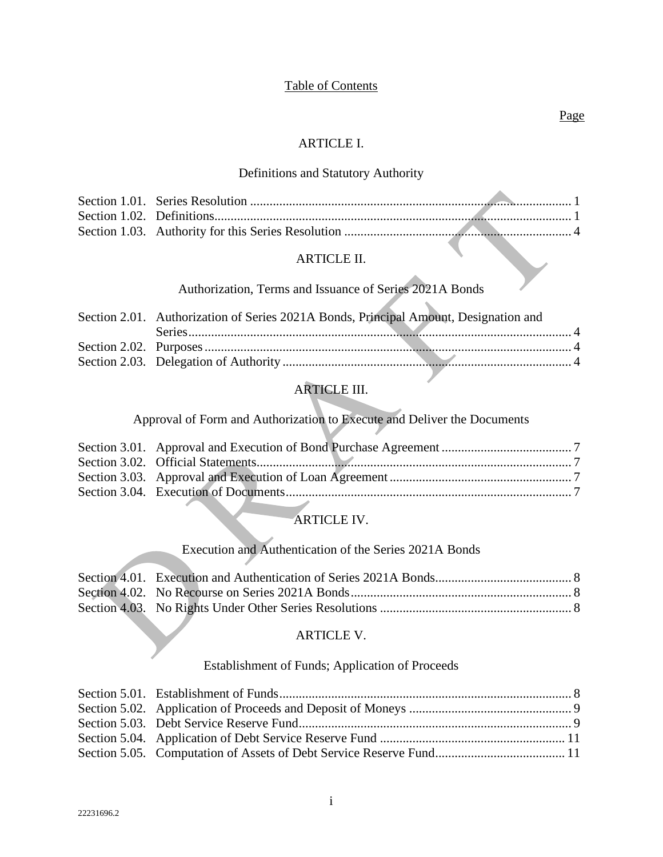## Table of Contents

#### Page

### ARTICLE I.

## Definitions and Statutory Authority

## ARTICLE II.

## Authorization, Terms and Issuance of Series 2021A Bonds

x

| Section 2.01. Authorization of Series 2021A Bonds, Principal Amount, Designation and |  |
|--------------------------------------------------------------------------------------|--|
|                                                                                      |  |
|                                                                                      |  |
|                                                                                      |  |

## ARTICLE III.

## Approval of Form and Authorization to Execute and Deliver the Documents

## ARTICLE IV.

## Execution and Authentication of the Series 2021A Bonds

#### ARTICLE V.

## Establishment of Funds; Application of Proceeds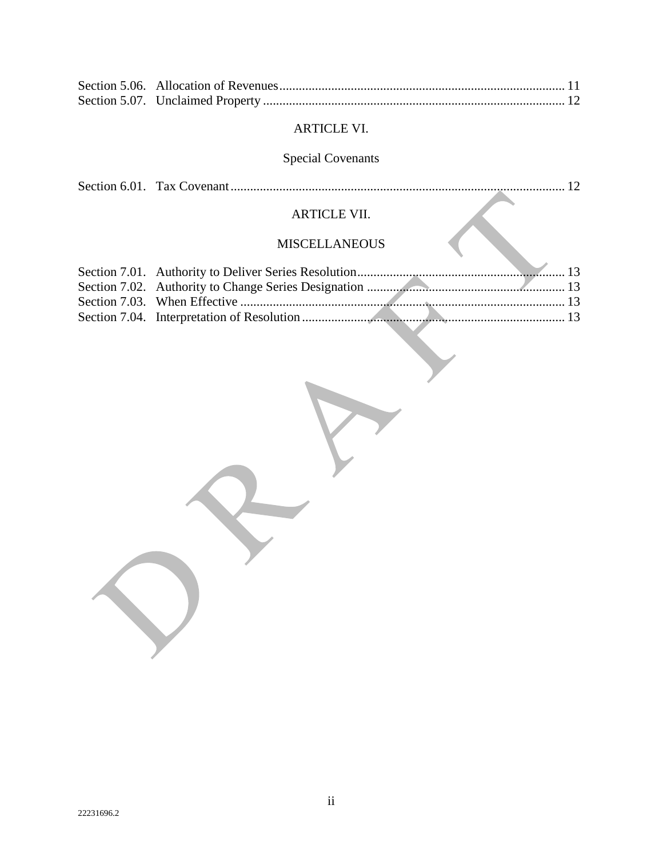## ARTICLE VI.

# Special Covenants

|--|--|--|--|

## ARTICLE VII.

## MISCELLANEOUS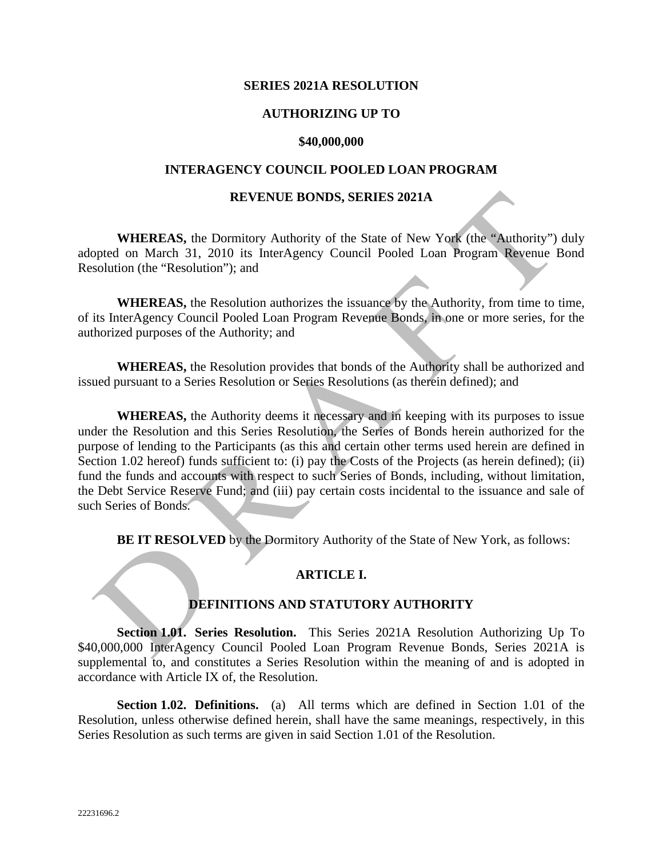#### **SERIES 2021A RESOLUTION**

### **AUTHORIZING UP TO**

#### **\$40,000,000**

#### **INTERAGENCY COUNCIL POOLED LOAN PROGRAM**

#### **REVENUE BONDS, SERIES 2021A**

**WHEREAS,** the Dormitory Authority of the State of New York (the "Authority") duly adopted on March 31, 2010 its InterAgency Council Pooled Loan Program Revenue Bond Resolution (the "Resolution"); and

**WHEREAS,** the Resolution authorizes the issuance by the Authority, from time to time, of its InterAgency Council Pooled Loan Program Revenue Bonds, in one or more series, for the authorized purposes of the Authority; and

**WHEREAS,** the Resolution provides that bonds of the Authority shall be authorized and issued pursuant to a Series Resolution or Series Resolutions (as therein defined); and

**WHEREAS,** the Authority deems it necessary and in keeping with its purposes to issue under the Resolution and this Series Resolution, the Series of Bonds herein authorized for the purpose of lending to the Participants (as this and certain other terms used herein are defined in Section 1.02 hereof) funds sufficient to: (i) pay the Costs of the Projects (as herein defined); (ii) fund the funds and accounts with respect to such Series of Bonds, including, without limitation, the Debt Service Reserve Fund; and (iii) pay certain costs incidental to the issuance and sale of such Series of Bonds.

**BE IT RESOLVED** by the Dormitory Authority of the State of New York, as follows:

### **ARTICLE I.**

#### **DEFINITIONS AND STATUTORY AUTHORITY**

**Section 1.01. Series Resolution.** This Series 2021A Resolution Authorizing Up To \$40,000,000 InterAgency Council Pooled Loan Program Revenue Bonds, Series 2021A is supplemental to, and constitutes a Series Resolution within the meaning of and is adopted in accordance with Article IX of, the Resolution.

**Section 1.02. Definitions.** (a)All terms which are defined in Section 1.01 of the Resolution, unless otherwise defined herein, shall have the same meanings, respectively, in this Series Resolution as such terms are given in said Section 1.01 of the Resolution.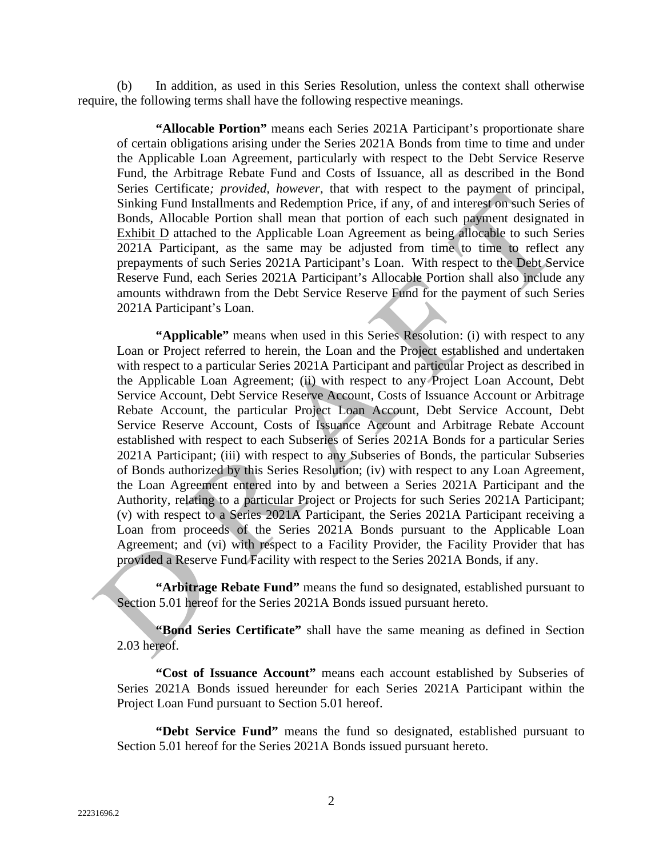(b) In addition, as used in this Series Resolution, unless the context shall otherwise require, the following terms shall have the following respective meanings.

**"Allocable Portion"** means each Series 2021A Participant's proportionate share of certain obligations arising under the Series 2021A Bonds from time to time and under the Applicable Loan Agreement, particularly with respect to the Debt Service Reserve Fund, the Arbitrage Rebate Fund and Costs of Issuance, all as described in the Bond Series Certificate*; provided, however*, that with respect to the payment of principal, Sinking Fund Installments and Redemption Price, if any, of and interest on such Series of Bonds, Allocable Portion shall mean that portion of each such payment designated in Exhibit D attached to the Applicable Loan Agreement as being allocable to such Series 2021A Participant, as the same may be adjusted from time to time to reflect any prepayments of such Series 2021A Participant's Loan. With respect to the Debt Service Reserve Fund, each Series 2021A Participant's Allocable Portion shall also include any amounts withdrawn from the Debt Service Reserve Fund for the payment of such Series 2021A Participant's Loan.

**"Applicable"** means when used in this Series Resolution: (i) with respect to any Loan or Project referred to herein, the Loan and the Project established and undertaken with respect to a particular Series 2021A Participant and particular Project as described in the Applicable Loan Agreement; (ii) with respect to any Project Loan Account, Debt Service Account, Debt Service Reserve Account, Costs of Issuance Account or Arbitrage Rebate Account, the particular Project Loan Account, Debt Service Account, Debt Service Reserve Account, Costs of Issuance Account and Arbitrage Rebate Account established with respect to each Subseries of Series 2021A Bonds for a particular Series 2021A Participant; (iii) with respect to any Subseries of Bonds, the particular Subseries of Bonds authorized by this Series Resolution; (iv) with respect to any Loan Agreement, the Loan Agreement entered into by and between a Series 2021A Participant and the Authority, relating to a particular Project or Projects for such Series 2021A Participant; (v) with respect to a Series 2021A Participant, the Series 2021A Participant receiving a Loan from proceeds of the Series 2021A Bonds pursuant to the Applicable Loan Agreement; and (vi) with respect to a Facility Provider, the Facility Provider that has provided a Reserve Fund Facility with respect to the Series 2021A Bonds, if any.

**"Arbitrage Rebate Fund"** means the fund so designated, established pursuant to Section 5.01 hereof for the Series 2021A Bonds issued pursuant hereto.

**"Bond Series Certificate"** shall have the same meaning as defined in Section 2.03 hereof.

**"Cost of Issuance Account"** means each account established by Subseries of Series 2021A Bonds issued hereunder for each Series 2021A Participant within the Project Loan Fund pursuant to Section 5.01 hereof.

**"Debt Service Fund"** means the fund so designated, established pursuant to Section 5.01 hereof for the Series 2021A Bonds issued pursuant hereto.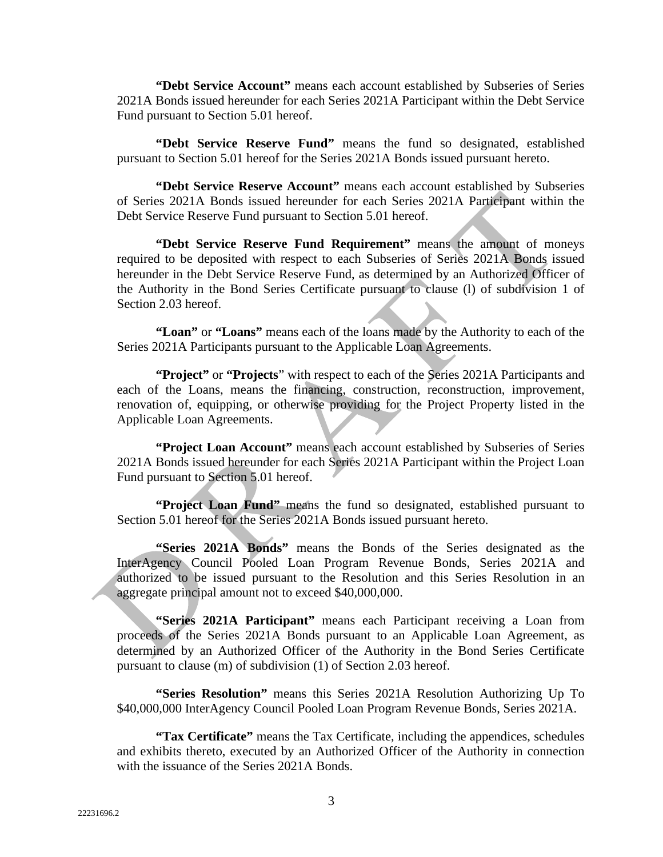**"Debt Service Account"** means each account established by Subseries of Series 2021A Bonds issued hereunder for each Series 2021A Participant within the Debt Service Fund pursuant to Section 5.01 hereof.

**"Debt Service Reserve Fund"** means the fund so designated, established pursuant to Section 5.01 hereof for the Series 2021A Bonds issued pursuant hereto.

**"Debt Service Reserve Account"** means each account established by Subseries of Series 2021A Bonds issued hereunder for each Series 2021A Participant within the Debt Service Reserve Fund pursuant to Section 5.01 hereof.

**"Debt Service Reserve Fund Requirement"** means the amount of moneys required to be deposited with respect to each Subseries of Series 2021A Bonds issued hereunder in the Debt Service Reserve Fund, as determined by an Authorized Officer of the Authority in the Bond Series Certificate pursuant to clause (l) of subdivision 1 of Section 2.03 hereof.

**"Loan"** or **"Loans"** means each of the loans made by the Authority to each of the Series 2021A Participants pursuant to the Applicable Loan Agreements.

**"Project"** or **"Projects**" with respect to each of the Series 2021A Participants and each of the Loans, means the financing, construction, reconstruction, improvement, renovation of, equipping, or otherwise providing for the Project Property listed in the Applicable Loan Agreements.

**"Project Loan Account"** means each account established by Subseries of Series 2021A Bonds issued hereunder for each Series 2021A Participant within the Project Loan Fund pursuant to Section 5.01 hereof.

**"Project Loan Fund"** means the fund so designated, established pursuant to Section 5.01 hereof for the Series 2021A Bonds issued pursuant hereto.

**"Series 2021A Bonds"** means the Bonds of the Series designated as the InterAgency Council Pooled Loan Program Revenue Bonds, Series 2021A and authorized to be issued pursuant to the Resolution and this Series Resolution in an aggregate principal amount not to exceed \$40,000,000.

**"Series 2021A Participant"** means each Participant receiving a Loan from proceeds of the Series 2021A Bonds pursuant to an Applicable Loan Agreement, as determined by an Authorized Officer of the Authority in the Bond Series Certificate pursuant to clause (m) of subdivision (1) of Section 2.03 hereof.

**"Series Resolution"** means this Series 2021A Resolution Authorizing Up To \$40,000,000 InterAgency Council Pooled Loan Program Revenue Bonds, Series 2021A.

**"Tax Certificate"** means the Tax Certificate, including the appendices, schedules and exhibits thereto, executed by an Authorized Officer of the Authority in connection with the issuance of the Series 2021A Bonds.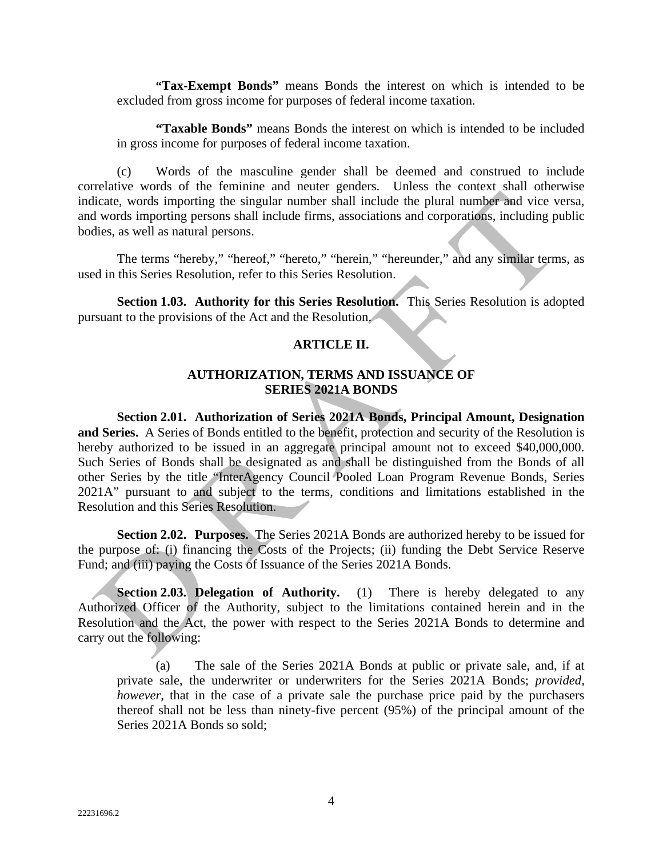**"Tax-Exempt Bonds"** means Bonds the interest on which is intended to be excluded from gross income for purposes of federal income taxation.

**"Taxable Bonds"** means Bonds the interest on which is intended to be included in gross income for purposes of federal income taxation.

(c) Words of the masculine gender shall be deemed and construed to include correlative words of the feminine and neuter genders. Unless the context shall otherwise indicate, words importing the singular number shall include the plural number and vice versa, and words importing persons shall include firms, associations and corporations, including public bodies, as well as natural persons.

The terms "hereby," "hereof," "hereto," "herein," "hereunder," and any similar terms, as used in this Series Resolution, refer to this Series Resolution.

**Section 1.03. Authority for this Series Resolution.** This Series Resolution is adopted pursuant to the provisions of the Act and the Resolution.

#### **ARTICLE II.**

### **AUTHORIZATION, TERMS AND ISSUANCE OF SERIES 2021A BONDS**

**Section 2.01. Authorization of Series 2021A Bonds, Principal Amount, Designation and Series.** A Series of Bonds entitled to the benefit, protection and security of the Resolution is hereby authorized to be issued in an aggregate principal amount not to exceed \$40,000,000. Such Series of Bonds shall be designated as and shall be distinguished from the Bonds of all other Series by the title "InterAgency Council Pooled Loan Program Revenue Bonds, Series 2021A" pursuant to and subject to the terms, conditions and limitations established in the Resolution and this Series Resolution.

**Section 2.02. Purposes.** The Series 2021A Bonds are authorized hereby to be issued for the purpose of: (i) financing the Costs of the Projects; (ii) funding the Debt Service Reserve Fund; and (iii) paying the Costs of Issuance of the Series 2021A Bonds.

**Section 2.03. Delegation of Authority.** (1) There is hereby delegated to any Authorized Officer of the Authority, subject to the limitations contained herein and in the Resolution and the Act, the power with respect to the Series 2021A Bonds to determine and carry out the following:

(a) The sale of the Series 2021A Bonds at public or private sale, and, if at private sale, the underwriter or underwriters for the Series 2021A Bonds; *provided, however*, that in the case of a private sale the purchase price paid by the purchasers thereof shall not be less than ninety-five percent (95%) of the principal amount of the Series 2021A Bonds so sold;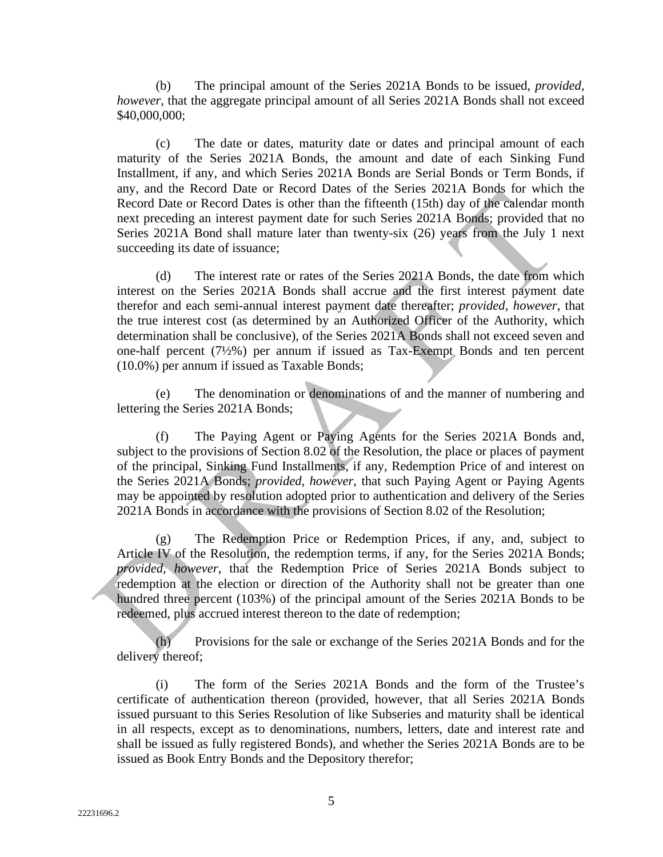(b) The principal amount of the Series 2021A Bonds to be issued, *provided, however*, that the aggregate principal amount of all Series 2021A Bonds shall not exceed \$40,000,000;

(c) The date or dates, maturity date or dates and principal amount of each maturity of the Series 2021A Bonds, the amount and date of each Sinking Fund Installment, if any, and which Series 2021A Bonds are Serial Bonds or Term Bonds, if any, and the Record Date or Record Dates of the Series 2021A Bonds for which the Record Date or Record Dates is other than the fifteenth (15th) day of the calendar month next preceding an interest payment date for such Series 2021A Bonds; provided that no Series 2021A Bond shall mature later than twenty-six (26) years from the July 1 next succeeding its date of issuance;

(d) The interest rate or rates of the Series 2021A Bonds, the date from which interest on the Series 2021A Bonds shall accrue and the first interest payment date therefor and each semi-annual interest payment date thereafter; *provided, however*, that the true interest cost (as determined by an Authorized Officer of the Authority, which determination shall be conclusive), of the Series 2021A Bonds shall not exceed seven and one-half percent (7½%) per annum if issued as Tax-Exempt Bonds and ten percent (10.0%) per annum if issued as Taxable Bonds;

(e) The denomination or denominations of and the manner of numbering and lettering the Series 2021A Bonds;

(f) The Paying Agent or Paying Agents for the Series 2021A Bonds and, subject to the provisions of Section 8.02 of the Resolution, the place or places of payment of the principal, Sinking Fund Installments, if any, Redemption Price of and interest on the Series 2021A Bonds; *provided, however*, that such Paying Agent or Paying Agents may be appointed by resolution adopted prior to authentication and delivery of the Series 2021A Bonds in accordance with the provisions of Section 8.02 of the Resolution;

(g) The Redemption Price or Redemption Prices, if any, and, subject to Article IV of the Resolution, the redemption terms, if any, for the Series 2021A Bonds; *provided, however*, that the Redemption Price of Series 2021A Bonds subject to redemption at the election or direction of the Authority shall not be greater than one hundred three percent (103%) of the principal amount of the Series 2021A Bonds to be redeemed, plus accrued interest thereon to the date of redemption;

(h) Provisions for the sale or exchange of the Series 2021A Bonds and for the delivery thereof;

(i) The form of the Series 2021A Bonds and the form of the Trustee's certificate of authentication thereon (provided, however, that all Series 2021A Bonds issued pursuant to this Series Resolution of like Subseries and maturity shall be identical in all respects, except as to denominations, numbers, letters, date and interest rate and shall be issued as fully registered Bonds), and whether the Series 2021A Bonds are to be issued as Book Entry Bonds and the Depository therefor;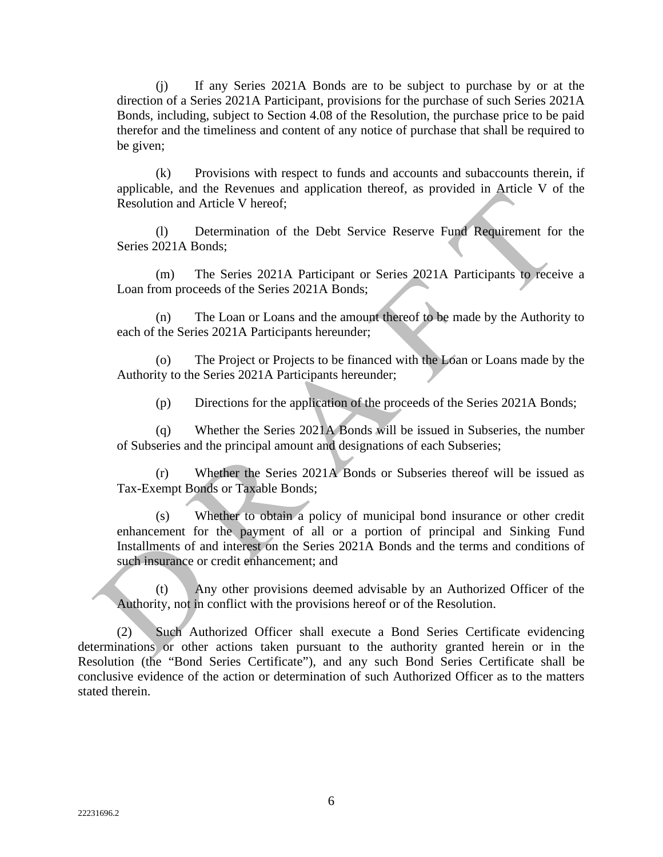(j) If any Series 2021A Bonds are to be subject to purchase by or at the direction of a Series 2021A Participant, provisions for the purchase of such Series 2021A Bonds, including, subject to Section 4.08 of the Resolution, the purchase price to be paid therefor and the timeliness and content of any notice of purchase that shall be required to be given;

(k) Provisions with respect to funds and accounts and subaccounts therein, if applicable, and the Revenues and application thereof, as provided in Article V of the Resolution and Article V hereof;

(l) Determination of the Debt Service Reserve Fund Requirement for the Series 2021A Bonds;

(m) The Series 2021A Participant or Series 2021A Participants to receive a Loan from proceeds of the Series 2021A Bonds;

(n) The Loan or Loans and the amount thereof to be made by the Authority to each of the Series 2021A Participants hereunder;

The Project or Projects to be financed with the Loan or Loans made by the Authority to the Series 2021A Participants hereunder;

(p) Directions for the application of the proceeds of the Series 2021A Bonds;

(q) Whether the Series 2021A Bonds will be issued in Subseries, the number of Subseries and the principal amount and designations of each Subseries;

(r) Whether the Series 2021A Bonds or Subseries thereof will be issued as Tax-Exempt Bonds or Taxable Bonds;

(s) Whether to obtain a policy of municipal bond insurance or other credit enhancement for the payment of all or a portion of principal and Sinking Fund Installments of and interest on the Series 2021A Bonds and the terms and conditions of such insurance or credit enhancement; and

(t) Any other provisions deemed advisable by an Authorized Officer of the Authority, not in conflict with the provisions hereof or of the Resolution.

(2) Such Authorized Officer shall execute a Bond Series Certificate evidencing determinations or other actions taken pursuant to the authority granted herein or in the Resolution (the "Bond Series Certificate"), and any such Bond Series Certificate shall be conclusive evidence of the action or determination of such Authorized Officer as to the matters stated therein.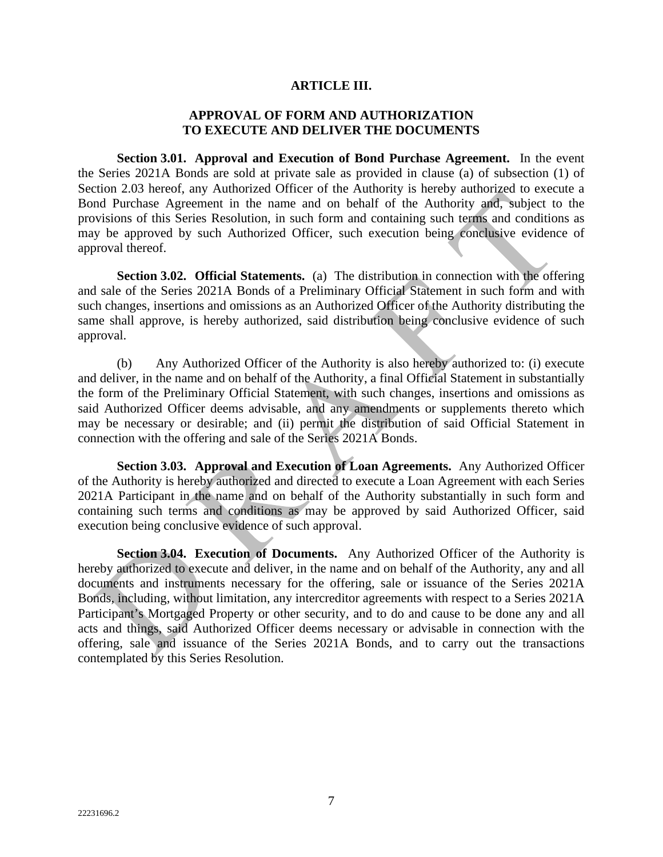#### **ARTICLE III.**

### **APPROVAL OF FORM AND AUTHORIZATION TO EXECUTE AND DELIVER THE DOCUMENTS**

**Section 3.01. Approval and Execution of Bond Purchase Agreement.** In the event the Series 2021A Bonds are sold at private sale as provided in clause (a) of subsection (1) of Section 2.03 hereof, any Authorized Officer of the Authority is hereby authorized to execute a Bond Purchase Agreement in the name and on behalf of the Authority and, subject to the provisions of this Series Resolution, in such form and containing such terms and conditions as may be approved by such Authorized Officer, such execution being conclusive evidence of approval thereof.

**Section 3.02. Official Statements.** (a) The distribution in connection with the offering and sale of the Series 2021A Bonds of a Preliminary Official Statement in such form and with such changes, insertions and omissions as an Authorized Officer of the Authority distributing the same shall approve, is hereby authorized, said distribution being conclusive evidence of such approval.

(b) Any Authorized Officer of the Authority is also hereby authorized to: (i) execute and deliver, in the name and on behalf of the Authority, a final Official Statement in substantially the form of the Preliminary Official Statement, with such changes, insertions and omissions as said Authorized Officer deems advisable, and any amendments or supplements thereto which may be necessary or desirable; and (ii) permit the distribution of said Official Statement in connection with the offering and sale of the Series 2021A Bonds.

**Section 3.03. Approval and Execution of Loan Agreements.** Any Authorized Officer of the Authority is hereby authorized and directed to execute a Loan Agreement with each Series 2021A Participant in the name and on behalf of the Authority substantially in such form and containing such terms and conditions as may be approved by said Authorized Officer, said execution being conclusive evidence of such approval.

**Section 3.04. Execution of Documents.** Any Authorized Officer of the Authority is hereby authorized to execute and deliver, in the name and on behalf of the Authority, any and all documents and instruments necessary for the offering, sale or issuance of the Series 2021A Bonds, including, without limitation, any intercreditor agreements with respect to a Series 2021A Participant's Mortgaged Property or other security, and to do and cause to be done any and all acts and things, said Authorized Officer deems necessary or advisable in connection with the offering, sale and issuance of the Series 2021A Bonds, and to carry out the transactions contemplated by this Series Resolution.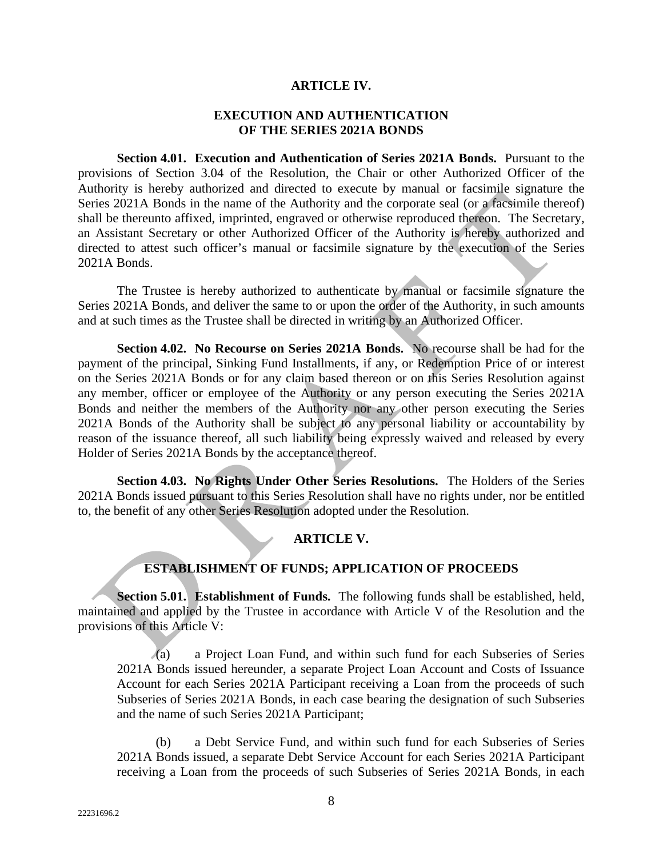#### **ARTICLE IV.**

#### **EXECUTION AND AUTHENTICATION OF THE SERIES 2021A BONDS**

**Section 4.01. Execution and Authentication of Series 2021A Bonds.** Pursuant to the provisions of Section 3.04 of the Resolution, the Chair or other Authorized Officer of the Authority is hereby authorized and directed to execute by manual or facsimile signature the Series 2021A Bonds in the name of the Authority and the corporate seal (or a facsimile thereof) shall be thereunto affixed, imprinted, engraved or otherwise reproduced thereon. The Secretary, an Assistant Secretary or other Authorized Officer of the Authority is hereby authorized and directed to attest such officer's manual or facsimile signature by the execution of the Series 2021A Bonds.

The Trustee is hereby authorized to authenticate by manual or facsimile signature the Series 2021A Bonds, and deliver the same to or upon the order of the Authority, in such amounts and at such times as the Trustee shall be directed in writing by an Authorized Officer.

**Section 4.02. No Recourse on Series 2021A Bonds.** No recourse shall be had for the payment of the principal, Sinking Fund Installments, if any, or Redemption Price of or interest on the Series 2021A Bonds or for any claim based thereon or on this Series Resolution against any member, officer or employee of the Authority or any person executing the Series 2021A Bonds and neither the members of the Authority nor any other person executing the Series 2021A Bonds of the Authority shall be subject to any personal liability or accountability by reason of the issuance thereof, all such liability being expressly waived and released by every Holder of Series 2021A Bonds by the acceptance thereof.

**Section 4.03. No Rights Under Other Series Resolutions.** The Holders of the Series 2021A Bonds issued pursuant to this Series Resolution shall have no rights under, nor be entitled to, the benefit of any other Series Resolution adopted under the Resolution.

### **ARTICLE V.**

## **ESTABLISHMENT OF FUNDS; APPLICATION OF PROCEEDS**

**Section 5.01. Establishment of Funds.** The following funds shall be established, held, maintained and applied by the Trustee in accordance with Article V of the Resolution and the provisions of this Article V:

(a) a Project Loan Fund, and within such fund for each Subseries of Series 2021A Bonds issued hereunder, a separate Project Loan Account and Costs of Issuance Account for each Series 2021A Participant receiving a Loan from the proceeds of such Subseries of Series 2021A Bonds, in each case bearing the designation of such Subseries and the name of such Series 2021A Participant;

(b) a Debt Service Fund, and within such fund for each Subseries of Series 2021A Bonds issued, a separate Debt Service Account for each Series 2021A Participant receiving a Loan from the proceeds of such Subseries of Series 2021A Bonds, in each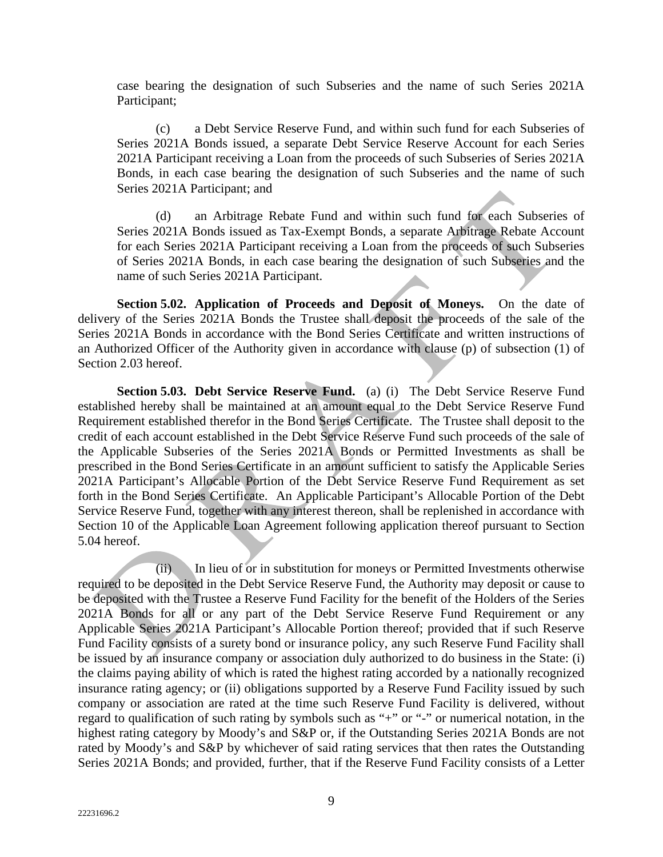case bearing the designation of such Subseries and the name of such Series 2021A Participant;

(c) a Debt Service Reserve Fund, and within such fund for each Subseries of Series 2021A Bonds issued, a separate Debt Service Reserve Account for each Series 2021A Participant receiving a Loan from the proceeds of such Subseries of Series 2021A Bonds, in each case bearing the designation of such Subseries and the name of such Series 2021A Participant; and

(d) an Arbitrage Rebate Fund and within such fund for each Subseries of Series 2021A Bonds issued as Tax-Exempt Bonds, a separate Arbitrage Rebate Account for each Series 2021A Participant receiving a Loan from the proceeds of such Subseries of Series 2021A Bonds, in each case bearing the designation of such Subseries and the name of such Series 2021A Participant.

**Section 5.02. Application of Proceeds and Deposit of Moneys.** On the date of delivery of the Series 2021A Bonds the Trustee shall deposit the proceeds of the sale of the Series 2021A Bonds in accordance with the Bond Series Certificate and written instructions of an Authorized Officer of the Authority given in accordance with clause (p) of subsection (1) of Section 2.03 hereof.

**Section 5.03. Debt Service Reserve Fund.** (a) (i) The Debt Service Reserve Fund established hereby shall be maintained at an amount equal to the Debt Service Reserve Fund Requirement established therefor in the Bond Series Certificate. The Trustee shall deposit to the credit of each account established in the Debt Service Reserve Fund such proceeds of the sale of the Applicable Subseries of the Series 2021A Bonds or Permitted Investments as shall be prescribed in the Bond Series Certificate in an amount sufficient to satisfy the Applicable Series 2021A Participant's Allocable Portion of the Debt Service Reserve Fund Requirement as set forth in the Bond Series Certificate. An Applicable Participant's Allocable Portion of the Debt Service Reserve Fund, together with any interest thereon, shall be replenished in accordance with Section 10 of the Applicable Loan Agreement following application thereof pursuant to Section 5.04 hereof.

(ii) In lieu of or in substitution for moneys or Permitted Investments otherwise required to be deposited in the Debt Service Reserve Fund, the Authority may deposit or cause to be deposited with the Trustee a Reserve Fund Facility for the benefit of the Holders of the Series 2021A Bonds for all or any part of the Debt Service Reserve Fund Requirement or any Applicable Series 2021A Participant's Allocable Portion thereof; provided that if such Reserve Fund Facility consists of a surety bond or insurance policy, any such Reserve Fund Facility shall be issued by an insurance company or association duly authorized to do business in the State: (i) the claims paying ability of which is rated the highest rating accorded by a nationally recognized insurance rating agency; or (ii) obligations supported by a Reserve Fund Facility issued by such company or association are rated at the time such Reserve Fund Facility is delivered, without regard to qualification of such rating by symbols such as "+" or "-" or numerical notation, in the highest rating category by Moody's and S&P or, if the Outstanding Series 2021A Bonds are not rated by Moody's and S&P by whichever of said rating services that then rates the Outstanding Series 2021A Bonds; and provided, further, that if the Reserve Fund Facility consists of a Letter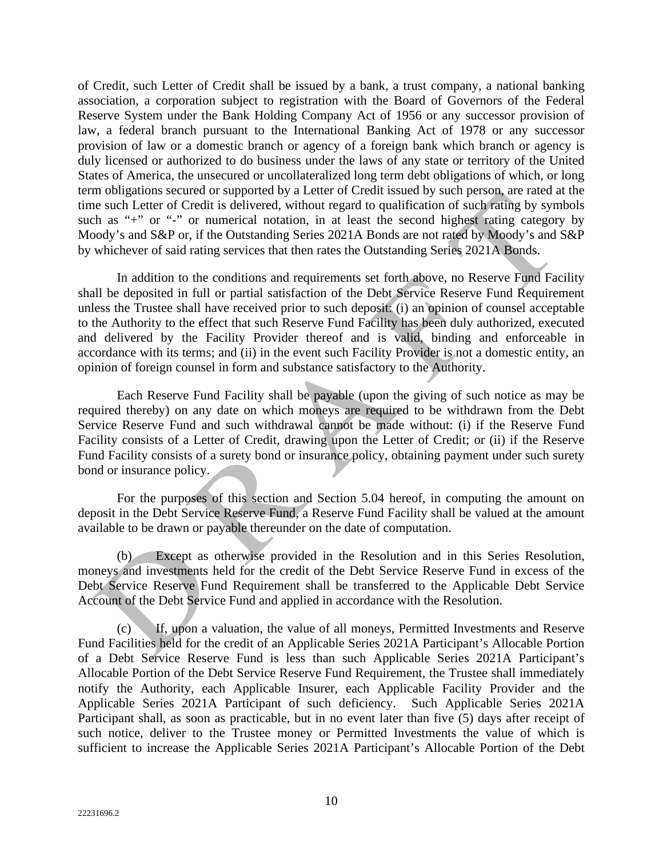of Credit, such Letter of Credit shall be issued by a bank, a trust company, a national banking association, a corporation subject to registration with the Board of Governors of the Federal Reserve System under the Bank Holding Company Act of 1956 or any successor provision of law, a federal branch pursuant to the International Banking Act of 1978 or any successor provision of law or a domestic branch or agency of a foreign bank which branch or agency is duly licensed or authorized to do business under the laws of any state or territory of the United States of America, the unsecured or uncollateralized long term debt obligations of which, or long term obligations secured or supported by a Letter of Credit issued by such person, are rated at the time such Letter of Credit is delivered, without regard to qualification of such rating by symbols such as "+" or "-" or numerical notation, in at least the second highest rating category by Moody's and S&P or, if the Outstanding Series 2021A Bonds are not rated by Moody's and S&P by whichever of said rating services that then rates the Outstanding Series 2021A Bonds.

In addition to the conditions and requirements set forth above, no Reserve Fund Facility shall be deposited in full or partial satisfaction of the Debt Service Reserve Fund Requirement unless the Trustee shall have received prior to such deposit: (i) an opinion of counsel acceptable to the Authority to the effect that such Reserve Fund Facility has been duly authorized, executed and delivered by the Facility Provider thereof and is valid, binding and enforceable in accordance with its terms; and (ii) in the event such Facility Provider is not a domestic entity, an opinion of foreign counsel in form and substance satisfactory to the Authority.

Each Reserve Fund Facility shall be payable (upon the giving of such notice as may be required thereby) on any date on which moneys are required to be withdrawn from the Debt Service Reserve Fund and such withdrawal cannot be made without: (i) if the Reserve Fund Facility consists of a Letter of Credit, drawing upon the Letter of Credit; or (ii) if the Reserve Fund Facility consists of a surety bond or insurance policy, obtaining payment under such surety bond or insurance policy.

For the purposes of this section and Section 5.04 hereof, in computing the amount on deposit in the Debt Service Reserve Fund, a Reserve Fund Facility shall be valued at the amount available to be drawn or payable thereunder on the date of computation.

(b) Except as otherwise provided in the Resolution and in this Series Resolution, moneys and investments held for the credit of the Debt Service Reserve Fund in excess of the Debt Service Reserve Fund Requirement shall be transferred to the Applicable Debt Service Account of the Debt Service Fund and applied in accordance with the Resolution.

(c) If, upon a valuation, the value of all moneys, Permitted Investments and Reserve Fund Facilities held for the credit of an Applicable Series 2021A Participant's Allocable Portion of a Debt Service Reserve Fund is less than such Applicable Series 2021A Participant's Allocable Portion of the Debt Service Reserve Fund Requirement, the Trustee shall immediately notify the Authority, each Applicable Insurer, each Applicable Facility Provider and the Applicable Series 2021A Participant of such deficiency. Such Applicable Series 2021A Participant shall, as soon as practicable, but in no event later than five (5) days after receipt of such notice, deliver to the Trustee money or Permitted Investments the value of which is sufficient to increase the Applicable Series 2021A Participant's Allocable Portion of the Debt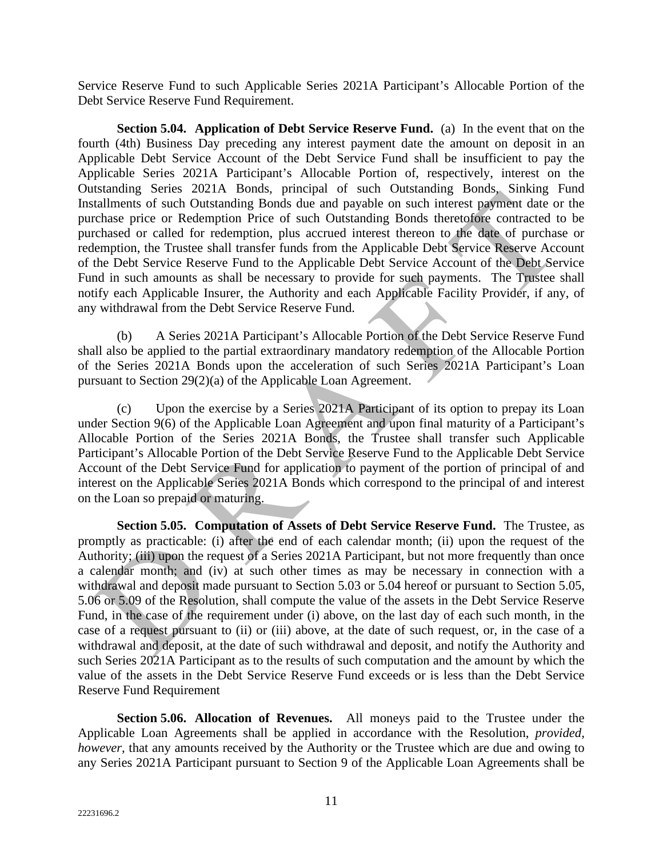Service Reserve Fund to such Applicable Series 2021A Participant's Allocable Portion of the Debt Service Reserve Fund Requirement.

**Section 5.04. Application of Debt Service Reserve Fund.** (a)In the event that on the fourth (4th) Business Day preceding any interest payment date the amount on deposit in an Applicable Debt Service Account of the Debt Service Fund shall be insufficient to pay the Applicable Series 2021A Participant's Allocable Portion of, respectively, interest on the Outstanding Series 2021A Bonds, principal of such Outstanding Bonds, Sinking Fund Installments of such Outstanding Bonds due and payable on such interest payment date or the purchase price or Redemption Price of such Outstanding Bonds theretofore contracted to be purchased or called for redemption, plus accrued interest thereon to the date of purchase or redemption, the Trustee shall transfer funds from the Applicable Debt Service Reserve Account of the Debt Service Reserve Fund to the Applicable Debt Service Account of the Debt Service Fund in such amounts as shall be necessary to provide for such payments. The Trustee shall notify each Applicable Insurer, the Authority and each Applicable Facility Provider, if any, of any withdrawal from the Debt Service Reserve Fund.

(b) A Series 2021A Participant's Allocable Portion of the Debt Service Reserve Fund shall also be applied to the partial extraordinary mandatory redemption of the Allocable Portion of the Series 2021A Bonds upon the acceleration of such Series 2021A Participant's Loan pursuant to Section 29(2)(a) of the Applicable Loan Agreement.

(c) Upon the exercise by a Series 2021A Participant of its option to prepay its Loan under Section 9(6) of the Applicable Loan Agreement and upon final maturity of a Participant's Allocable Portion of the Series 2021A Bonds, the Trustee shall transfer such Applicable Participant's Allocable Portion of the Debt Service Reserve Fund to the Applicable Debt Service Account of the Debt Service Fund for application to payment of the portion of principal of and interest on the Applicable Series 2021A Bonds which correspond to the principal of and interest on the Loan so prepaid or maturing.

**Section 5.05. Computation of Assets of Debt Service Reserve Fund.** The Trustee, as promptly as practicable: (i) after the end of each calendar month; (ii) upon the request of the Authority; (iii) upon the request of a Series 2021A Participant, but not more frequently than once a calendar month; and (iv) at such other times as may be necessary in connection with a withdrawal and deposit made pursuant to Section 5.03 or 5.04 hereof or pursuant to Section 5.05, 5.06 or 5.09 of the Resolution, shall compute the value of the assets in the Debt Service Reserve Fund, in the case of the requirement under (i) above, on the last day of each such month, in the case of a request pursuant to (ii) or (iii) above, at the date of such request, or, in the case of a withdrawal and deposit, at the date of such withdrawal and deposit, and notify the Authority and such Series 2021A Participant as to the results of such computation and the amount by which the value of the assets in the Debt Service Reserve Fund exceeds or is less than the Debt Service Reserve Fund Requirement

**Section 5.06. Allocation of Revenues.** All moneys paid to the Trustee under the Applicable Loan Agreements shall be applied in accordance with the Resolution, *provided, however*, that any amounts received by the Authority or the Trustee which are due and owing to any Series 2021A Participant pursuant to Section 9 of the Applicable Loan Agreements shall be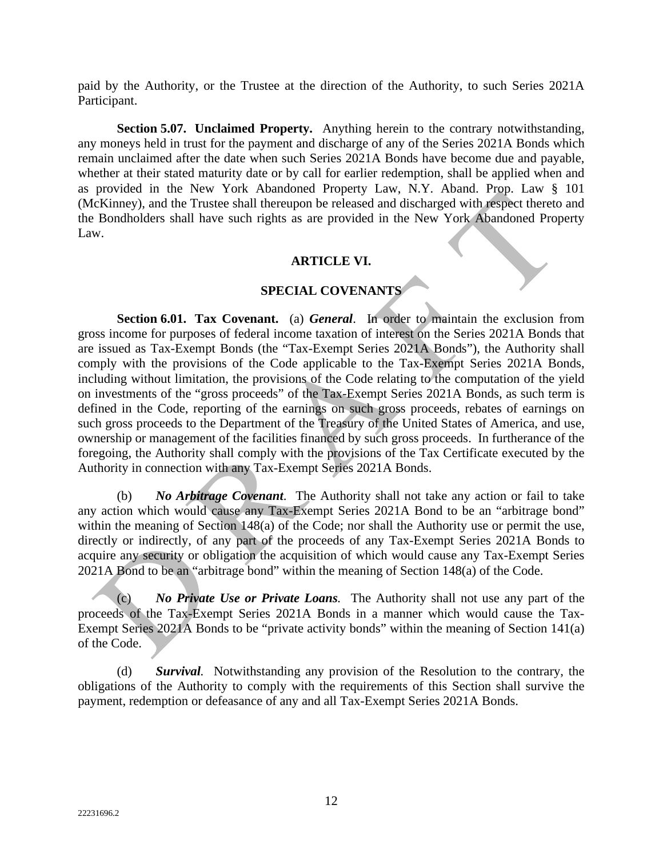paid by the Authority, or the Trustee at the direction of the Authority, to such Series 2021A Participant.

**Section 5.07. Unclaimed Property.** Anything herein to the contrary notwithstanding, any moneys held in trust for the payment and discharge of any of the Series 2021A Bonds which remain unclaimed after the date when such Series 2021A Bonds have become due and payable, whether at their stated maturity date or by call for earlier redemption, shall be applied when and as provided in the New York Abandoned Property Law, N.Y. Aband. Prop. Law § 101 (McKinney), and the Trustee shall thereupon be released and discharged with respect thereto and the Bondholders shall have such rights as are provided in the New York Abandoned Property Law.

#### **ARTICLE VI.**

### **SPECIAL COVENANTS**

**Section 6.01. Tax Covenant.** (a) *General*. In order to maintain the exclusion from gross income for purposes of federal income taxation of interest on the Series 2021A Bonds that are issued as Tax-Exempt Bonds (the "Tax-Exempt Series 2021A Bonds"), the Authority shall comply with the provisions of the Code applicable to the Tax-Exempt Series 2021A Bonds, including without limitation, the provisions of the Code relating to the computation of the yield on investments of the "gross proceeds" of the Tax-Exempt Series 2021A Bonds, as such term is defined in the Code, reporting of the earnings on such gross proceeds, rebates of earnings on such gross proceeds to the Department of the Treasury of the United States of America, and use, ownership or management of the facilities financed by such gross proceeds. In furtherance of the foregoing, the Authority shall comply with the provisions of the Tax Certificate executed by the Authority in connection with any Tax-Exempt Series 2021A Bonds.

(b) *No Arbitrage Covenant*. The Authority shall not take any action or fail to take any action which would cause any Tax-Exempt Series 2021A Bond to be an "arbitrage bond" within the meaning of Section 148(a) of the Code; nor shall the Authority use or permit the use, directly or indirectly, of any part of the proceeds of any Tax-Exempt Series 2021A Bonds to acquire any security or obligation the acquisition of which would cause any Tax-Exempt Series 2021A Bond to be an "arbitrage bond" within the meaning of Section 148(a) of the Code.

(c) *No Private Use or Private Loans.* The Authority shall not use any part of the proceeds of the Tax-Exempt Series 2021A Bonds in a manner which would cause the Tax-Exempt Series 2021A Bonds to be "private activity bonds" within the meaning of Section 141(a) of the Code.

(d) *Survival.* Notwithstanding any provision of the Resolution to the contrary, the obligations of the Authority to comply with the requirements of this Section shall survive the payment, redemption or defeasance of any and all Tax-Exempt Series 2021A Bonds.